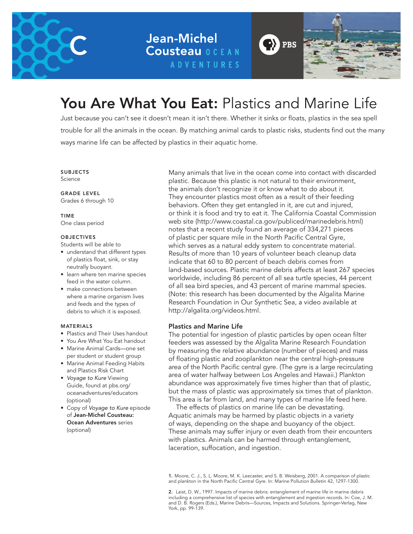

**Jean-Michel Cousteau OCEAN ADVENTURES** 



# You Are What You Eat: Plastics and Marine Life

Just because you can't see it doesn't mean it isn't there. Whether it sinks or floats, plastics in the sea spell trouble for all the animals in the ocean. By matching animal cards to plastic risks, students find out the many ways marine life can be affected by plastics in their aquatic home.

SUBJECTS Science

GRADE LEVEL Grades 6 through 10

TIME One class period

#### **OBJECTIVES**

Students will be able to

- understand that different types of plastics float, sink, or stay neutrally buoyant.
- learn where ten marine species feed in the water column.
- make connections between where a marine organism lives and feeds and the types of debris to which it is exposed.

#### MATERIALS

- Plastics and Their Uses handout
- You Are What You Eat handout
- Marine Animal Cards—one set per student or student group
- Marine Animal Feeding Habits and Plastics Risk Chart
- *Voyage to Kure* Viewing Guide, found at pbs.org/ oceanadventures/educators (optional)
- Copy of *Voyage to Kure* episode of Jean-Michel Cousteau: Ocean Adventures series (optional)

Many animals that live in the ocean come into contact with discarded plastic. Because this plastic is not natural to their environment, the animals don't recognize it or know what to do about it. They encounter plastics most often as a result of their feeding behaviors. Often they get entangled in it, are cut and injured, or think it is food and try to eat it. The California Coastal Commission web site (http://www.coastal.ca.gov/publiced/marinedebris.html) notes that a recent study found an average of 334,271 pieces of plastic per square mile in the North Pacific Central Gyre, which serves as a natural eddy system to concentrate material. Results of more than 10 years of volunteer beach cleanup data indicate that 60 to 80 percent of beach debris comes from land-based sources. Plastic marine debris affects at least 267 species worldwide, including 86 percent of all sea turtle species, 44 percent of all sea bird species, and 43 percent of marine mammal species. (Note: this research has been documented by the Algalita Marine Research Foundation in Our Synthetic Sea, a video available at http://algalita.org/videos.html.

### Plastics and Marine Life

The potential for ingestion of plastic particles by open ocean filter feeders was assessed by the Algalita Marine Research Foundation by measuring the relative abundance (number of pieces) and mass of floating plastic and zooplankton near the central high-pressure area of the North Pacific central gyre. (The gyre is a large recirculating area of water halfway between Los Angeles and Hawaii.) Plankton abundance was approximately five times higher than that of plastic, but the mass of plastic was approximately six times that of plankton. This area is far from land, and many types of marine life feed here.

 The effects of plastics on marine life can be devastating. Aquatic animals may be harmed by plastic objects in a variety of ways, depending on the shape and buoyancy of the object. These animals may suffer injury or even death from their encounters with plastics. Animals can be harmed through entanglement, laceration, suffocation, and ingestion.

1. Moore, C. J., S. L. Moore, M. K. Leecaster, and S. B. Weisberg, 2001. A comparison of plastic and plankton in the North Pacific Central Gyre. In: Marine Pollution Bulletin 42, 1297-1300.

2. Laist, D. W., 1997. Impacts of marine debris: entanglement of marine life in marine debris including a comprehensive list of species with entanglement and ingestion records. In: Coe, J. M. and D. B. Rogers (Eds.), Marine Debris—Sources, Impacts and Solutions. Springer-Verlag, New York, pp. 99-139.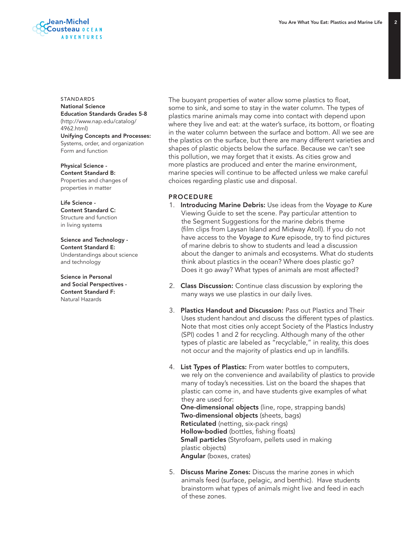

#### STANDARDS National Science

Education Standards Grades 5-8 (http://www.nap.edu/catalog/ 4962.html) Unifying Concepts and Processes: Systems, order, and organization Form and function

Physical Science - Content Standard B: Properties and changes of properties in matter

Life Science - Content Standard C: Structure and function in living systems

Science and Technology - Content Standard E: Understandings about science and technology

Science in Personal and Social Perspectives - Content Standard F: Natural Hazards

The buoyant properties of water allow some plastics to float, some to sink, and some to stay in the water column. The types of plastics marine animals may come into contact with depend upon where they live and eat: at the water's surface, its bottom, or floating in the water column between the surface and bottom. All we see are the plastics on the surface, but there are many different varieties and shapes of plastic objects below the surface. Because we can't see this pollution, we may forget that it exists. As cities grow and more plastics are produced and enter the marine environment, marine species will continue to be affected unless we make careful choices regarding plastic use and disposal.

### PROCEDURE

- 1. Introducing Marine Debris: Use ideas from the *Voyage to Kure*  Viewing Guide to set the scene. Pay particular attention to the Segment Suggestions for the marine debris theme (film clips from Laysan Island and Midway Atoll). If you do not have access to the *Voyage to Kure* episode, try to find pictures of marine debris to show to students and lead a discussion about the danger to animals and ecosystems. What do students think about plastics in the ocean? Where does plastic go? Does it go away? What types of animals are most affected?
- 2. **Class Discussion:** Continue class discussion by exploring the many ways we use plastics in our daily lives.
- 3. Plastics Handout and Discussion: Pass out Plastics and Their Uses student handout and discuss the different types of plastics. Note that most cities only accept Society of the Plastics Industry (SPI) codes 1 and 2 for recycling. Although many of the other types of plastic are labeled as "recyclable," in reality, this does not occur and the majority of plastics end up in landfills.
- 4. List Types of Plastics: From water bottles to computers, we rely on the convenience and availability of plastics to provide many of today's necessities. List on the board the shapes that plastic can come in, and have students give examples of what they are used for: One-dimensional objects (line, rope, strapping bands) Two-dimensional objects (sheets, bags) Reticulated (netting, six-pack rings) Hollow-bodied (bottles, fishing floats) **Small particles** (Styrofoam, pellets used in making plastic objects) Angular (boxes, crates)
- 5. Discuss Marine Zones: Discuss the marine zones in which animals feed (surface, pelagic, and benthic). Have students brainstorm what types of animals might live and feed in each of these zones.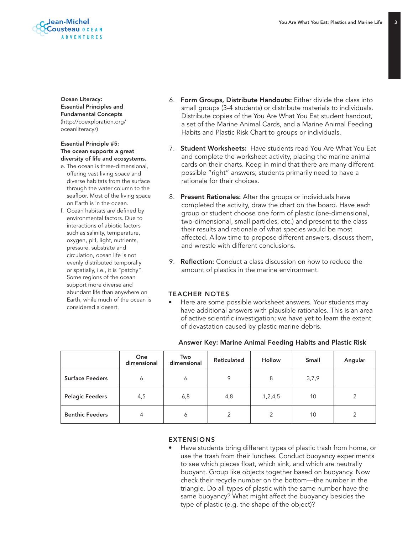

Ocean Literacy: Essential Principles and Fundamental Concepts (http://coexploration.org/ oceanliteracy/)

#### Essential Principle #5: The ocean supports a great diversity of life and ecosystems.

- e. The ocean is three-dimensional, offering vast living space and diverse habitats from the surface through the water column to the seafloor. Most of the living space on Earth is in the ocean.
- f. Ocean habitats are defined by environmental factors. Due to interactions of abiotic factors such as salinity, temperature, oxygen, pH, light, nutrients, pressure, substrate and circulation, ocean life is not evenly distributed temporally or spatially, i.e., it is "patchy". Some regions of the ocean support more diverse and abundant life than anywhere on Earth, while much of the ocean is considered a desert.
- 6. Form Groups, Distribute Handouts: Either divide the class into small groups (3-4 students) or distribute materials to individuals. Distribute copies of the You Are What You Eat student handout, a set of the Marine Animal Cards, and a Marine Animal Feeding Habits and Plastic Risk Chart to groups or individuals.
- 7. **Student Worksheets:** Have students read You Are What You Eat and complete the worksheet activity, placing the marine animal cards on their charts. Keep in mind that there are many different possible "right" answers; students primarily need to have a rationale for their choices.
- 8. Present Rationales: After the groups or individuals have completed the activity, draw the chart on the board. Have each group or student choose one form of plastic (one-dimensional, two-dimensional, small particles, etc.) and present to the class their results and rationale of what species would be most affected. Allow time to propose different answers, discuss them, and wrestle with different conclusions.
- 9. **Reflection:** Conduct a class discussion on how to reduce the amount of plastics in the marine environment.

### TEACHER NOTES

• Here are some possible worksheet answers. Your students may have additional answers with plausible rationales. This is an area of active scientific investigation; we have yet to learn the extent of devastation caused by plastic marine debris.

|                        | One<br>dimensional | Two<br>dimensional | Reticulated   | <b>Hollow</b> | <b>Small</b> | Angular        |
|------------------------|--------------------|--------------------|---------------|---------------|--------------|----------------|
| <b>Surface Feeders</b> | 6                  | 6                  | 9             | 8             | 3,7,9        |                |
| <b>Pelagic Feeders</b> | 4,5                | 6,8                | 4,8           | 1,2,4,5       | 10           | 2              |
| <b>Benthic Feeders</b> | 4                  | 6                  | $\mathcal{P}$ | $\mathcal{P}$ | 10           | $\mathfrak{D}$ |

#### EXTENSIONS

• Have students bring different types of plastic trash from home, or use the trash from their lunches. Conduct buoyancy experiments to see which pieces float, which sink, and which are neutrally buoyant. Group like objects together based on buoyancy. Now check their recycle number on the bottom—the number in the triangle. Do all types of plastic with the same number have the same buoyancy? What might affect the buoyancy besides the type of plastic (e.g. the shape of the object)?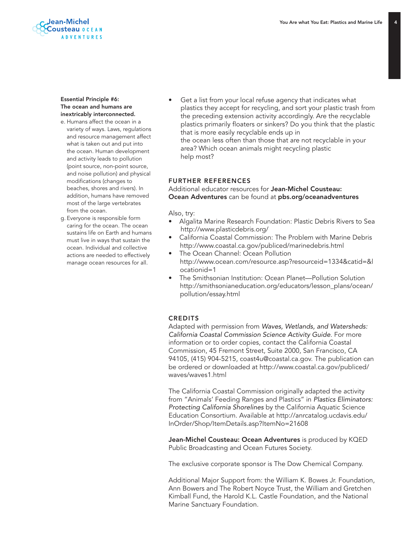## Jean-Michel Cousteau OCEAN **ADVENTURES**

#### Essential Principle #6: The ocean and humans are inextricably interconnected.

- e. Humans affect the ocean in a variety of ways. Laws, regulations and resource management affect what is taken out and put into the ocean. Human development and activity leads to pollution (point source, non-point source, and noise pollution) and physical modifications (changes to beaches, shores and rivers). In addition, humans have removed most of the large vertebrates from the ocean.
- g. Everyone is responsible form caring for the ocean. The ocean sustains life on Earth and humans must live in ways that sustain the ocean. Individual and collective actions are needed to effectively manage ocean resources for all.

Get a list from your local refuse agency that indicates what plastics they accept for recycling, and sort your plastic trash from the preceding extension activity accordingly. Are the recyclable plastics primarily floaters or sinkers? Do you think that the plastic that is more easily recyclable ends up in

the ocean less often than those that are not recyclable in your area? Which ocean animals might recycling plastic help most?

### FURTHER REFERENCES

### Additional educator resources for **Jean-Michel Cousteau:** Ocean Adventures can be found at pbs.org/oceanadventures

#### Also, try:

- Algalita Marine Research Foundation: Plastic Debris Rivers to Sea http://www.plasticdebris.org/
- California Coastal Commission: The Problem with Marine Debris http://www.coastal.ca.gov/publiced/marinedebris.html
- The Ocean Channel: Ocean Pollution http://www.ocean.com/resource.asp?resourceid=1334&catid=&l ocationid=1
- The Smithsonian Institution: Ocean Planet—Pollution Solution http://smithsonianeducation.org/educators/lesson\_plans/ocean/ pollution/essay.html

### **CREDITS**

Adapted with permission from *Waves, Wetlands, and Watersheds: California Coastal Commission Science Activity Guide*. For more information or to order copies, contact the California Coastal Commission, 45 Fremont Street, Suite 2000, San Francisco, CA 94105, (415) 904-5215, coast4u@coastal.ca.gov. The publication can be ordered or downloaded at http://www.coastal.ca.gov/publiced/ waves/waves1.html

The California Coastal Commission originally adapted the activity from "Animals' Feeding Ranges and Plastics" in *Plastics Eliminators: Protecting California Shorelines* by the California Aquatic Science Education Consortium. Available at http://anrcatalog.ucdavis.edu/ InOrder/Shop/ItemDetails.asp?ItemNo=21608

Jean-Michel Cousteau: Ocean Adventures is produced by KQED Public Broadcasting and Ocean Futures Society.

The exclusive corporate sponsor is The Dow Chemical Company.

Additional Major Support from: the William K. Bowes Jr. Foundation, Ann Bowers and The Robert Noyce Trust, the William and Gretchen Kimball Fund, the Harold K.L. Castle Foundation, and the National Marine Sanctuary Foundation.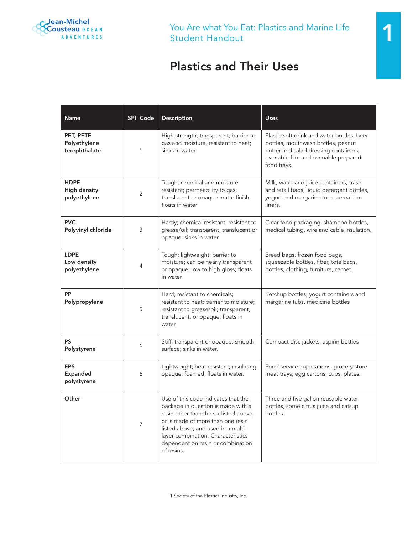

# Plastics and Their Uses

| Name                                               | SPI <sup>1</sup> Code | Description                                                                                                                                                                                                                                                                             | <b>Uses</b>                                                                                                                                                                     |  |
|----------------------------------------------------|-----------------------|-----------------------------------------------------------------------------------------------------------------------------------------------------------------------------------------------------------------------------------------------------------------------------------------|---------------------------------------------------------------------------------------------------------------------------------------------------------------------------------|--|
| PET, PETE<br>Polyethylene<br>terephthalate         | 1                     | High strength; transparent; barrier to<br>gas and moisture, resistant to heat;<br>sinks in water                                                                                                                                                                                        | Plastic soft drink and water bottles, beer<br>bottles, mouthwash bottles, peanut<br>butter and salad dressing containers,<br>ovenable film and ovenable prepared<br>food trays. |  |
| <b>HDPE</b><br><b>High density</b><br>polyethylene | 2                     | Tough; chemical and moisture<br>resistant; permeability to gas;<br>translucent or opaque matte finish;<br>floats in water                                                                                                                                                               | Milk, water and juice containers, trash<br>and retail bags, liquid detergent bottles,<br>yogurt and margarine tubs, cereal box<br>liners.                                       |  |
| <b>PVC</b><br>Polyvinyl chloride                   | 3                     | Hardy; chemical resistant; resistant to<br>grease/oil; transparent, translucent or<br>opaque; sinks in water.                                                                                                                                                                           | Clear food packaging, shampoo bottles,<br>medical tubing, wire and cable insulation.                                                                                            |  |
| <b>LDPE</b><br>Low density<br>polyethylene         | 4                     | Tough; lightweight; barrier to<br>moisture; can be nearly transparent<br>or opaque; low to high gloss; floats<br>in water.                                                                                                                                                              | Bread bags, frozen food bags,<br>squeezable bottles, fiber, tote bags,<br>bottles, clothing, furniture, carpet.                                                                 |  |
| PP<br>Polypropylene                                | 5                     | Hard; resistant to chemicals;<br>resistant to heat; barrier to moisture;<br>resistant to grease/oil; transparent,<br>translucent, or opaque; floats in<br>water.                                                                                                                        | Ketchup bottles, yogurt containers and<br>margarine tubs, medicine bottles                                                                                                      |  |
| <b>PS</b><br>Polystyrene                           | 6                     | Stiff; transparent or opaque; smooth<br>surface; sinks in water.                                                                                                                                                                                                                        | Compact disc jackets, aspirin bottles                                                                                                                                           |  |
| <b>EPS</b><br>Expanded<br>polystyrene              | 6                     | Lightweight; heat resistant; insulating;<br>opaque; foamed; floats in water.                                                                                                                                                                                                            | Food service applications, grocery store<br>meat trays, egg cartons, cups, plates.                                                                                              |  |
| Other                                              | $\overline{7}$        | Use of this code indicates that the<br>package in question is made with a<br>resin other than the six listed above,<br>or is made of more than one resin<br>listed above, and used in a multi-<br>layer combination. Characteristics<br>dependent on resin or combination<br>of resins. | Three and five gallon reusable water<br>bottles, some citrus juice and catsup<br>bottles.                                                                                       |  |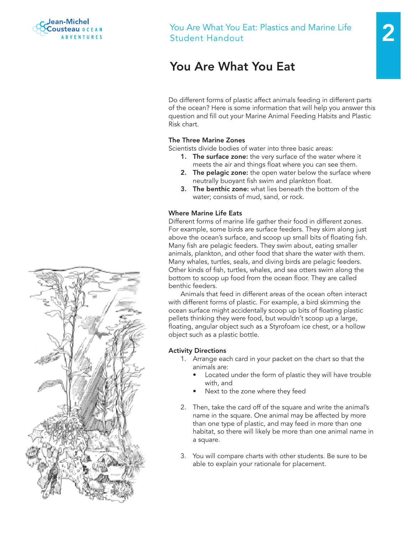

# You Are What You Eat: Plastics and Marine Life Student Handout

# You Are What You Eat

Do different forms of plastic affect animals feeding in different parts of the ocean? Here is some information that will help you answer this question and fill out your Marine Animal Feeding Habits and Plastic Risk chart.

## The Three Marine Zones

Scientists divide bodies of water into three basic areas:

- **1.** The surface zone: the very surface of the water where it meets the air and things float where you can see them.
- 2. The pelagic zone: the open water below the surface where neutrally buoyant fish swim and plankton float.
- 3. The benthic zone: what lies beneath the bottom of the water; consists of mud, sand, or rock.

# Where Marine Life Eats

Different forms of marine life gather their food in different zones. For example, some birds are surface feeders. They skim along just above the ocean's surface, and scoop up small bits of floating fish. Many fish are pelagic feeders. They swim about, eating smaller animals, plankton, and other food that share the water with them. Many whales, turtles, seals, and diving birds are pelagic feeders. Other kinds of fish, turtles, whales, and sea otters swim along the bottom to scoop up food from the ocean floor. They are called benthic feeders.

Animals that feed in different areas of the ocean often interact with different forms of plastic. For example, a bird skimming the ocean surface might accidentally scoop up bits of floating plastic pellets thinking they were food, but wouldn't scoop up a large, floating, angular object such as a Styrofoam ice chest, or a hollow object such as a plastic bottle.

# Activity Directions

- 1. Arrange each card in your packet on the chart so that the animals are:
	- Located under the form of plastic they will have trouble with, and
	- Next to the zone where they feed
- 2. Then, take the card off of the square and write the animal's name in the square. One animal may be affected by more than one type of plastic, and may feed in more than one habitat, so there will likely be more than one animal name in a square.
- 3. You will compare charts with other students. Be sure to be able to explain your rationale for placement.

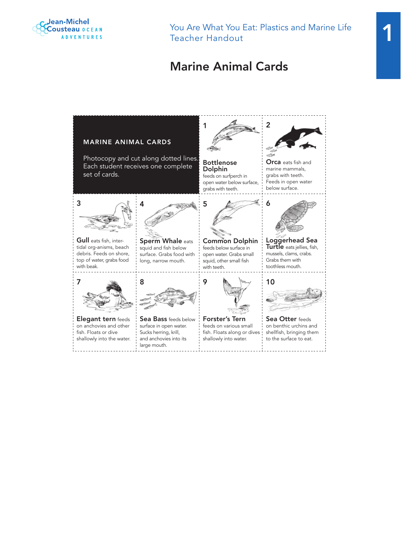

You Are What You Eat: Plastics and Marine Life Teacher Handout

# Marine Animal Cards